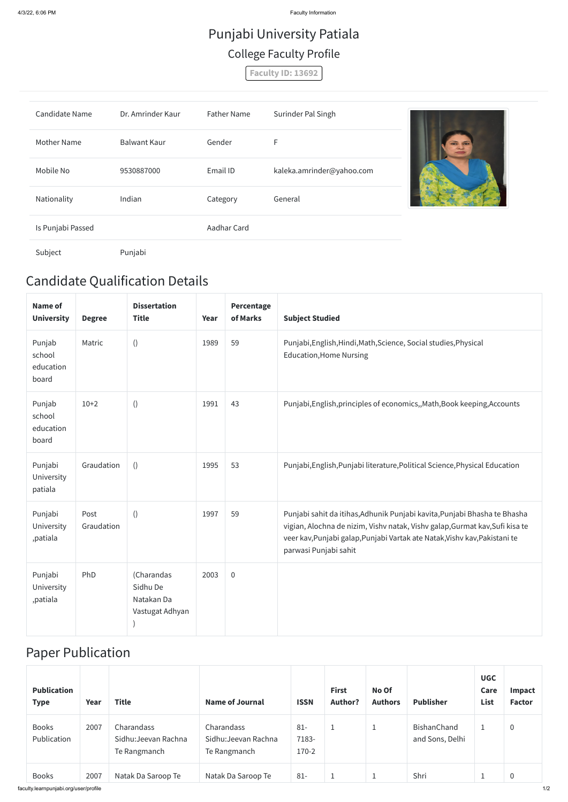4/3/22, 6:06 PM Faculty Information

## Candidate Qualification Details

| <b>Name of</b><br><b>University</b>    | <b>Degree</b>      | <b>Dissertation</b><br><b>Title</b>                     | Year | Percentage<br>of Marks | <b>Subject Studied</b>                                                                                                                                                                                                                                           |
|----------------------------------------|--------------------|---------------------------------------------------------|------|------------------------|------------------------------------------------------------------------------------------------------------------------------------------------------------------------------------------------------------------------------------------------------------------|
| Punjab<br>school<br>education<br>board | Matric             | $\left( \right)$                                        | 1989 | 59                     | Punjabi, English, Hindi, Math, Science, Social studies, Physical<br><b>Education, Home Nursing</b>                                                                                                                                                               |
| Punjab<br>school<br>education<br>board | $10+2$             | ()                                                      | 1991 | 43                     | Punjabi, English, principles of economics,, Math, Book keeping, Accounts                                                                                                                                                                                         |
| Punjabi<br>University<br>patiala       | Graudation         | ()                                                      | 1995 | 53                     | Punjabi, English, Punjabi literature, Political Science, Physical Education                                                                                                                                                                                      |
| Punjabi<br>University<br>,patiala      | Post<br>Graudation | $\left( \right)$                                        | 1997 | 59                     | Punjabi sahit da itihas, Adhunik Punjabi kavita, Punjabi Bhasha te Bhasha<br>vigian, Alochna de nizim, Vishv natak, Vishv galap, Gurmat kav, Sufi kisa te<br>veer kav, Punjabi galap, Punjabi Vartak ate Natak, Vishv kav, Pakistani te<br>parwasi Punjabi sahit |
| Punjabi<br>University<br>,patiala      | PhD                | (Charandas<br>Sidhu De<br>Natakan Da<br>Vastugat Adhyan | 2003 | $\overline{0}$         |                                                                                                                                                                                                                                                                  |

### Paper Publication

| <b>Publication</b><br><b>Type</b> | Year | <b>Title</b>                                       | <b>Name of Journal</b>                             | <b>ISSN</b>                | <b>First</b><br><b>Author?</b> | No Of<br><b>Authors</b> | <b>Publisher</b>               | <b>UGC</b><br>Care<br><b>List</b> | Impact<br><b>Factor</b> |
|-----------------------------------|------|----------------------------------------------------|----------------------------------------------------|----------------------------|--------------------------------|-------------------------|--------------------------------|-----------------------------------|-------------------------|
| <b>Books</b><br>Publication       | 2007 | Charandass<br>Sidhu: Jeevan Rachna<br>Te Rangmanch | Charandass<br>Sidhu: Jeevan Rachna<br>Te Rangmanch | $81 -$<br>7183-<br>$170-2$ | ÷.                             | J.                      | BishanChand<br>and Sons, Delhi |                                   | 0                       |
| <b>Books</b>                      | 2007 | Natak Da Saroop Te                                 | Natak Da Saroop Te                                 | $81 -$                     | J.                             | ᅩ                       | Shri                           |                                   | $\mathbf 0$             |

# Punjabi University Patiala College Faculty Profile

**Faculty ID: 13692**

| <b>Candidate Name</b> | Dr. Amrinder Kaur   | <b>Father Name</b> | Surinder Pal Singh        |                         |
|-----------------------|---------------------|--------------------|---------------------------|-------------------------|
| <b>Mother Name</b>    | <b>Balwant Kaur</b> | Gender             | F                         | $\overline{\mathbf{G}}$ |
| Mobile No             | 9530887000          | Email ID           | kaleka.amrinder@yahoo.com |                         |
| Nationality           | Indian              | Category           | General                   |                         |
| Is Punjabi Passed     |                     | Aadhar Card        |                           |                         |
| Subject               | Punjabi             |                    |                           |                         |